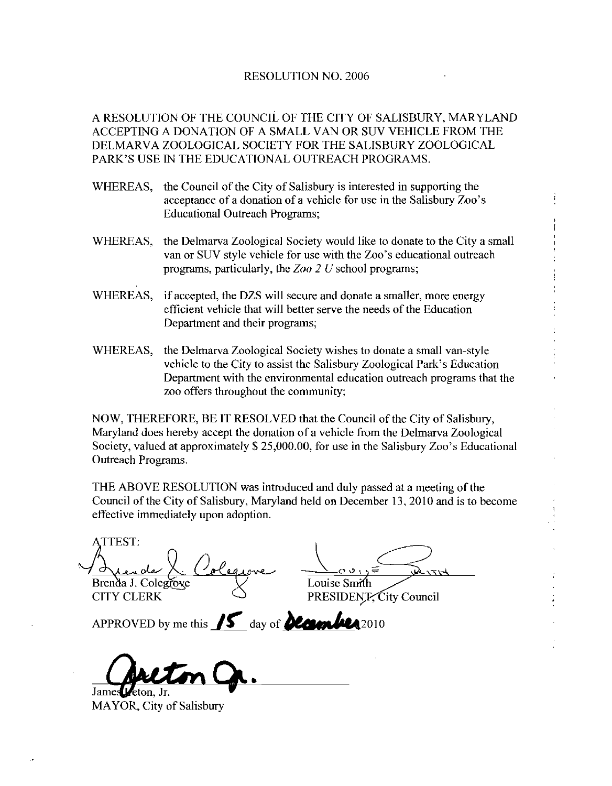## RESOLUTION NO. 2006

A RESOLUTION OF THE COUNCIL OF THE CITY OF SALISBURY, MARYLAND<br>ACCEPTING A DONATION OF A SMALL VAN OR SUV VEHICLE FROM THE<br>DELMARVA ZOOLOGICAL SOCIETY FOR THE SALISBURY ZOOLOGICAL<br>PARK'S USE IN THE EDUCATIONAL OUTREACH PRO ACCEPTING A DONATION OF A SMALL VAN OR SUV VEHICLE FROM THE DELMARVA ZOOLOGICAL SOCIETY FOR THE SALISBURY ZOOLOGICAL

- WHEREAS, the Council of the City of Salisbury is interested in supporting the PARK'S USE IN THE EDUCATIONAL OUTREACH PROGRAMS.<br>WHEREAS, the Council of the City of Salisbury is interested in supporting the<br>acceptance of a donation of a vehicle for use in the Salisbury Zoo's Educational Outreach Programs
- WHEREAS, the Delmarva Zoological Society would like to donate to the City a small van or SUV style vehicle for use with the Zoo's educational outreach programs, particularly, the  $Zoo 2 U$  school programs;
- WHEREAS, if accepted, the DZS will secure and donate a smaller, more energy efficient vehicle that will better serve the needs of the Education Department and their programs
- WHEREAS, the Delmarva Zoological Society wishes to donate a small van-style vehicle to the City to assist the Salisbury Zoological Park's Education Department with the environmental education outreach programs that the zoo offers throughout the community

NOW, THEREFORE, BE IT RESOLVED that the Council of the City of Salisbury, Maryland does hereby accept the donation of a vehicle from the Delmarva Zoological Society, valued at approximately  $$25,000.00$ , for use in the Salisbury Zoo's Educational Outreach Programs

THE ABOVE RESOLUTION was introduced and duly passed at a meeting of the Council of the City of Salisbury, Maryland held on December 13, 2010 and is to become effective immediately upon adoption

ATTEST:  $\frac{1}{\frac{1}{\frac{1}{\frac{1}{\sqrt{1}}}}\frac{1}{\frac{1}{\sqrt{1}}}}$   $\frac{1}{\frac{1}{\sqrt{1}}}\frac{1}{\frac{1}{\sqrt{1}}}\frac{1}{\frac{1}{\sqrt{1}}}\frac{1}{\frac{1}{\sqrt{1}}}\frac{1}{\frac{1}{\sqrt{1}}}\frac{1}{\frac{1}{\sqrt{1}}}\frac{1}{\frac{1}{\sqrt{1}}}\frac{1}{\frac{1}{\sqrt{1}}}\frac{1}{\frac{1}{\sqrt{1}}}\frac{1}{\frac{1}{\sqrt{1}}}\frac{1}{\frac{1}{\sqrt{1}}}\frac{1}{\frac{1}{$ Ortegrade A. Colegrave — Covint Council<br>Brenda J. Colegrave — COUSE Smith<br>CITY CLERK PRESIDENIT, City Council Brenda J. Colegrove<br>CITY CLERK<br>APPROVED by me this **15** day of **Country** 2010

į

James Leton. Jr.

MAYOR, City of Salisbury